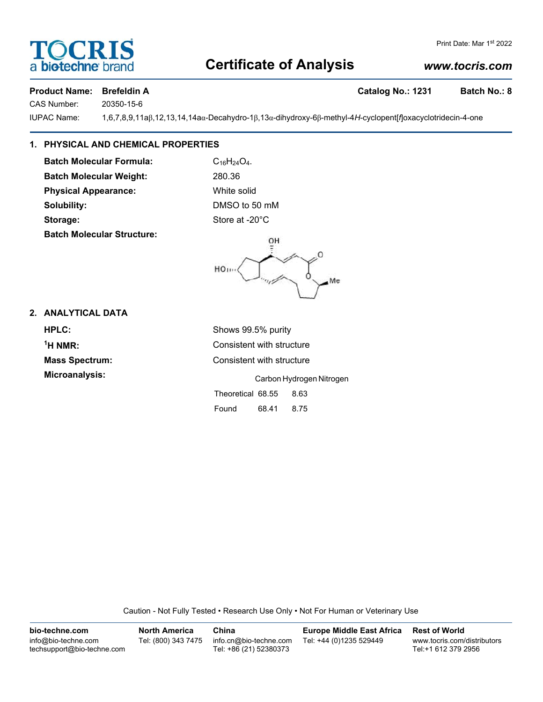# **Certificate of Analysis**

## *www.tocris.com*

## **Product Name: Brefeldin A Catalog No.: 1231 Batch No.: 8**

OCRIS

CAS Number: 20350-15-6

a **biotechne** bi

IUPAC Name: 1,6,7,8,9,11aβ,12,13,14,14aα-Decahydro-1β,13α-dihydroxy-6β-methyl-4*H*-cyclopent[*f*]oxacyclotridecin-4-one

## **1. PHYSICAL AND CHEMICAL PROPERTIES**

**Batch Molecular Formula:** C<sub>16</sub>H<sub>24</sub>O<sub>4</sub>. **Batch Molecular Weight:** 280.36 **Physical Appearance:** White solid **Solubility:** DMSO to 50 mM **Storage:** Store at -20°C **Batch Molecular Structure:**

OH HO ... Me

## **2. ANALYTICAL DATA**

 $<sup>1</sup>H NMR$ </sup>

**HPLC:** Shows 99.5% purity **Consistent with structure Mass Spectrum:** Consistent with structure **Microanalysis:** Carbon Hydrogen Nitrogen Theoretical 68.55 8.63

Found 68.41 8.75

Caution - Not Fully Tested • Research Use Only • Not For Human or Veterinary Use

| bio-techne.com                                    | <b>North America</b> | China                                            | <b>Europe Middle East Africa</b> | <b>Rest of World</b>                               |
|---------------------------------------------------|----------------------|--------------------------------------------------|----------------------------------|----------------------------------------------------|
| info@bio-techne.com<br>techsupport@bio-techne.com | Tel: (800) 343 7475  | info.cn@bio-techne.com<br>Tel: +86 (21) 52380373 | Tel: +44 (0)1235 529449          | www.tocris.com/distributors<br>Tel:+1 612 379 2956 |

Print Date: Mar 1st 2022